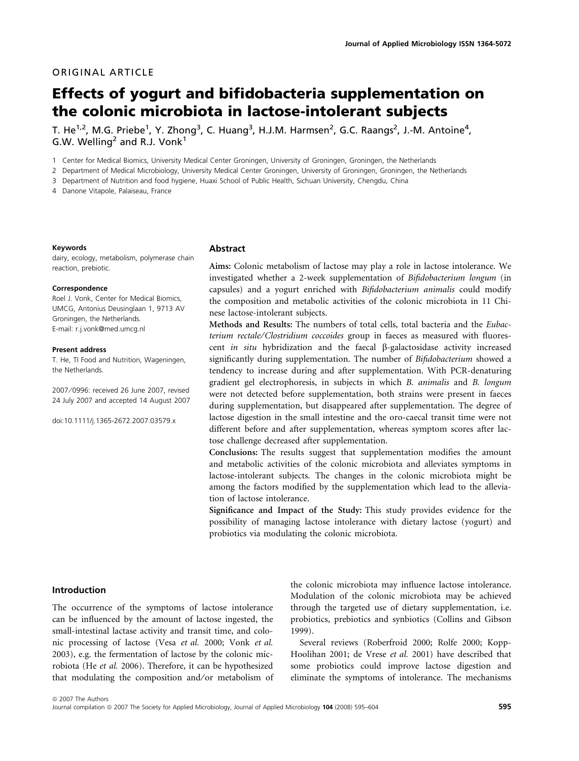# ORIGINAL ARTICLE

# Effects of yogurt and bifidobacteria supplementation on the colonic microbiota in lactose-intolerant subjects

T. He $^{1,2}$ , M.G. Priebe $^{1}$ , Y. Zhong $^{3}$ , C. Huang $^{3}$ , H.J.M. Harmsen $^{2}$ , G.C. Raangs $^{2}$ , J.-M. Antoine $^{4}$ , G.W. Welling<sup>2</sup> and R.J. Vonk<sup>1</sup>

1 Center for Medical Biomics, University Medical Center Groningen, University of Groningen, Groningen, the Netherlands

2 Department of Medical Microbiology, University Medical Center Groningen, University of Groningen, Groningen, the Netherlands

3 Department of Nutrition and food hygiene, Huaxi School of Public Health, Sichuan University, Chengdu, China

4 Danone Vitapole, Palaiseau, France

#### Keywords

dairy, ecology, metabolism, polymerase chain reaction, prebiotic.

#### Correspondence

Roel J. Vonk, Center for Medical Biomics, UMCG, Antonius Deusinglaan 1, 9713 AV Groningen, the Netherlands. E-mail: r.j.vonk@med.umcg.nl

#### Present address

T. He, TI Food and Nutrition, Wageningen, the Netherlands.

2007 ⁄ 0996: received 26 June 2007, revised 24 July 2007 and accepted 14 August 2007

doi:10.1111/j.1365-2672.2007.03579.x

#### Abstract

Aims: Colonic metabolism of lactose may play a role in lactose intolerance. We investigated whether a 2-week supplementation of Bifidobacterium longum (in capsules) and a yogurt enriched with Bifidobacterium animalis could modify the composition and metabolic activities of the colonic microbiota in 11 Chinese lactose-intolerant subjects.

Methods and Results: The numbers of total cells, total bacteria and the Eubacterium rectale⁄Clostridium coccoides group in faeces as measured with fluorescent in situ hybridization and the faecal  $\beta$ -galactosidase activity increased significantly during supplementation. The number of Bifidobacterium showed a tendency to increase during and after supplementation. With PCR-denaturing gradient gel electrophoresis, in subjects in which B. animalis and B. longum were not detected before supplementation, both strains were present in faeces during supplementation, but disappeared after supplementation. The degree of lactose digestion in the small intestine and the oro-caecal transit time were not different before and after supplementation, whereas symptom scores after lactose challenge decreased after supplementation.

Conclusions: The results suggest that supplementation modifies the amount and metabolic activities of the colonic microbiota and alleviates symptoms in lactose-intolerant subjects. The changes in the colonic microbiota might be among the factors modified by the supplementation which lead to the alleviation of lactose intolerance.

Significance and Impact of the Study: This study provides evidence for the possibility of managing lactose intolerance with dietary lactose (yogurt) and probiotics via modulating the colonic microbiota.

## Introduction

The occurrence of the symptoms of lactose intolerance can be influenced by the amount of lactose ingested, the small-intestinal lactase activity and transit time, and colonic processing of lactose (Vesa et al. 2000; Vonk et al. 2003), e.g. the fermentation of lactose by the colonic microbiota (He et al. 2006). Therefore, it can be hypothesized that modulating the composition and/or metabolism of the colonic microbiota may influence lactose intolerance. Modulation of the colonic microbiota may be achieved through the targeted use of dietary supplementation, i.e. probiotics, prebiotics and synbiotics (Collins and Gibson 1999).

Several reviews (Roberfroid 2000; Rolfe 2000; Kopp-Hoolihan 2001; de Vrese et al. 2001) have described that some probiotics could improve lactose digestion and eliminate the symptoms of intolerance. The mechanisms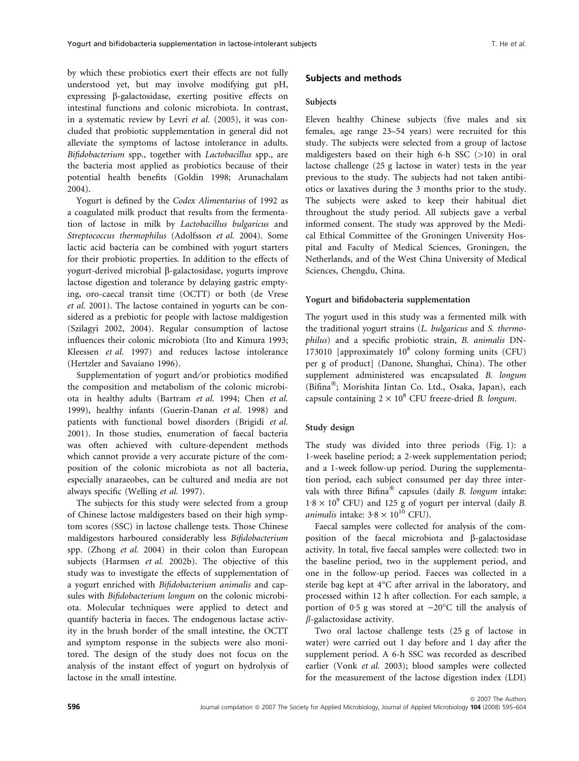by which these probiotics exert their effects are not fully understood yet, but may involve modifying gut pH, expressing b-galactosidase, exerting positive effects on intestinal functions and colonic microbiota. In contrast, in a systematic review by Levri et al. (2005), it was concluded that probiotic supplementation in general did not alleviate the symptoms of lactose intolerance in adults. Bifidobacterium spp., together with Lactobacillus spp., are the bacteria most applied as probiotics because of their potential health benefits (Goldin 1998; Arunachalam 2004).

Yogurt is defined by the Codex Alimentarius of 1992 as a coagulated milk product that results from the fermentation of lactose in milk by Lactobacillus bulgaricus and Streptococcus thermophilus (Adolfsson et al. 2004). Some lactic acid bacteria can be combined with yogurt starters for their probiotic properties. In addition to the effects of yogurt-derived microbial b-galactosidase, yogurts improve lactose digestion and tolerance by delaying gastric emptying, oro-caecal transit time (OCTT) or both (de Vrese et al. 2001). The lactose contained in yogurts can be considered as a prebiotic for people with lactose maldigestion (Szilagyi 2002, 2004). Regular consumption of lactose influences their colonic microbiota (Ito and Kimura 1993; Kleessen et al. 1997) and reduces lactose intolerance (Hertzler and Savaiano 1996).

Supplementation of yogurt and/or probiotics modified the composition and metabolism of the colonic microbiota in healthy adults (Bartram et al. 1994; Chen et al. 1999), healthy infants (Guerin-Danan et al. 1998) and patients with functional bowel disorders (Brigidi et al. 2001). In those studies, enumeration of faecal bacteria was often achieved with culture-dependent methods which cannot provide a very accurate picture of the composition of the colonic microbiota as not all bacteria, especially anaraeobes, can be cultured and media are not always specific (Welling et al. 1997).

The subjects for this study were selected from a group of Chinese lactose maldigesters based on their high symptom scores (SSC) in lactose challenge tests. Those Chinese maldigestors harboured considerably less Bifidobacterium spp. (Zhong et al. 2004) in their colon than European subjects (Harmsen et al. 2002b). The objective of this study was to investigate the effects of supplementation of a yogurt enriched with Bifidobacterium animalis and capsules with Bifidobacterium longum on the colonic microbiota. Molecular techniques were applied to detect and quantify bacteria in faeces. The endogenous lactase activity in the brush border of the small intestine, the OCTT and symptom response in the subjects were also monitored. The design of the study does not focus on the analysis of the instant effect of yogurt on hydrolysis of lactose in the small intestine.

## Subjects and methods

#### Subjects

Eleven healthy Chinese subjects (five males and six females, age range 23–54 years) were recruited for this study. The subjects were selected from a group of lactose maldigesters based on their high 6-h SSC (>10) in oral lactose challenge (25 g lactose in water) tests in the year previous to the study. The subjects had not taken antibiotics or laxatives during the 3 months prior to the study. The subjects were asked to keep their habitual diet throughout the study period. All subjects gave a verbal informed consent. The study was approved by the Medical Ethical Committee of the Groningen University Hospital and Faculty of Medical Sciences, Groningen, the Netherlands, and of the West China University of Medical Sciences, Chengdu, China.

#### Yogurt and bifidobacteria supplementation

The yogurt used in this study was a fermented milk with the traditional yogurt strains (L. bulgaricus and S. thermophilus) and a specific probiotic strain, B. animalis DN-173010 [approximately  $10^8$  colony forming units (CFU) per g of product] (Danone, Shanghai, China). The other supplement administered was encapsulated B. longum (Bifina®; Morishita Jintan Co. Ltd., Osaka, Japan), each capsule containing  $2 \times 10^8$  CFU freeze-dried B. longum.

#### Study design

The study was divided into three periods (Fig. 1): a 1-week baseline period; a 2-week supplementation period; and a 1-week follow-up period. During the supplementation period, each subject consumed per day three intervals with three Bifina® capsules (daily B. longum intake:  $1.8 \times 10^{9}$  CFU) and 125 g of yogurt per interval (daily B. *animalis* intake:  $3.8 \times 10^{10}$  CFU).

Faecal samples were collected for analysis of the composition of the faecal microbiota and b-galactosidase activity. In total, five faecal samples were collected: two in the baseline period, two in the supplement period, and one in the follow-up period. Faeces was collected in a sterile bag kept at 4°C after arrival in the laboratory, and processed within 12 h after collection. For each sample, a portion of 0.5 g was stored at  $-20^{\circ}$ C till the analysis of  $\beta$ -galactosidase activity.

Two oral lactose challenge tests (25 g of lactose in water) were carried out 1 day before and 1 day after the supplement period. A 6-h SSC was recorded as described earlier (Vonk et al. 2003); blood samples were collected for the measurement of the lactose digestion index (LDI)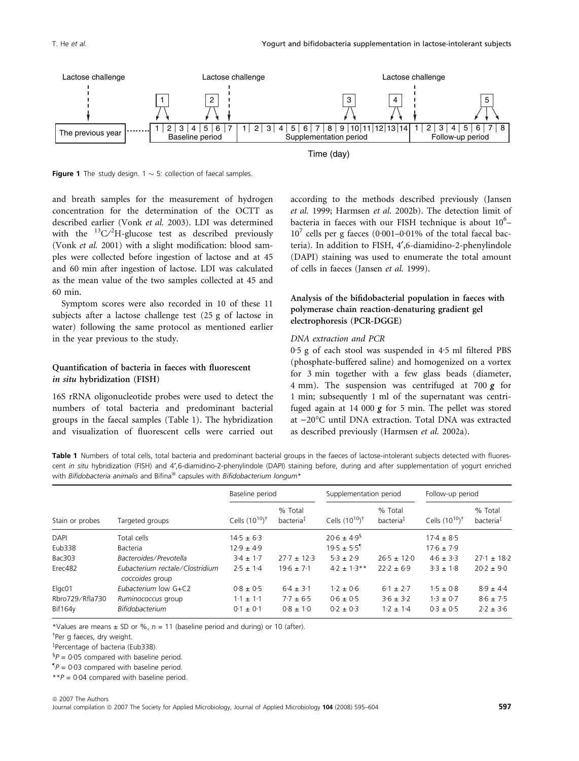

**Figure 1** The study design. 1  $\sim$  5: collection of faecal samples.

and breath samples for the measurement of hydrogen concentration for the determination of the OCTT as described earlier (Vonk et al. 2003). LDI was determined with the  $\mathrm{^{13}C/^{2}H}$ -glucose test as described previously (Vonk et al. 2001) with a slight modification: blood samples were collected before ingestion of lactose and at 45 and 60 min after ingestion of lactose. LDI was calculated as the mean value of the two samples collected at 45 and 60 min.

Symptom scores were also recorded in 10 of these 11 subjects after a lactose challenge test (25 g of lactose in water) following the same protocol as mentioned earlier in the year previous to the study.

# Quantification of bacteria in faeces with fluorescent in situ hybridization (FISH)

16S rRNA oligonucleotide probes were used to detect the numbers of total bacteria and predominant bacterial groups in the faecal samples (Table 1). The hybridization and visualization of fluorescent cells were carried out according to the methods described previously (Jansen et al. 1999; Harmsen et al. 2002b). The detection limit of bacteria in faeces with our FISH technique is about 10<sup>6</sup>- $10^7$  cells per g faeces (0·001–0·01% of the total faecal bacteria). In addition to FISH, 4¢,6-diamidino-2-phenylindole (DAPI) staining was used to enumerate the total amount of cells in faeces (Jansen et al. 1999).

# Analysis of the bifidobacterial population in faeces with polymerase chain reaction-denaturing gradient gel electrophoresis (PCR-DGGE)

#### DNA extraction and PCR

 $0.5$  g of each stool was suspended in  $4.5$  ml filtered PBS (phosphate-buffered saline) and homogenized on a vortex for 3 min together with a few glass beads (diameter, 4 mm). The suspension was centrifuged at 700  *for* 1 min; subsequently 1 ml of the supernatant was centrifuged again at 14 000  $\varrho$  for 5 min. The pellet was stored at -20°C until DNA extraction. Total DNA was extracted as described previously (Harmsen et al. 2002a).

Table 1 Numbers of total cells, total bacteria and predominant bacterial groups in the faeces of lactose-intolerant subjects detected with fluorescent in situ hybridization (FISH) and 4',6-diamidino-2-phenylindole (DAPI) staining before, during and after supplementation of yogurt enriched with Bifidobacteria animalis and Bifina® capsules with Bifidobacterium longum\*

|                 | Targeted groups                                    | Baseline period             |                                  | Supplementation period      |                                  | Follow-up period            |                                  |
|-----------------|----------------------------------------------------|-----------------------------|----------------------------------|-----------------------------|----------------------------------|-----------------------------|----------------------------------|
| Stain or probes |                                                    | Cells $(10^{10})^{\dagger}$ | % Total<br>bacteria <sup>‡</sup> | Cells $(10^{10})^{\dagger}$ | % Total<br>bacteria <sup>‡</sup> | Cells $(10^{10})^{\dagger}$ | % Total<br>bacteria <sup>‡</sup> |
| <b>DAPI</b>     | Total cells                                        | $14.5 \pm 6.3$              |                                  | $20.6 \pm 4.9$ <sup>§</sup> |                                  | $17.4 \pm 8.5$              |                                  |
| Eub338          | <b>Bacteria</b>                                    | $12.9 \pm 4.9$              |                                  | $19.5 \pm 5.5$ <sup>1</sup> |                                  | $17.6 \pm 7.9$              |                                  |
| Bac303          | Bacteroides/Prevotella                             | $3.4 \pm 1.7$               | $27.7 \pm 12.3$                  | $5.3 \pm 2.9$               | $26.5 \pm 12.0$                  | $4.6 \pm 3.3$               | $27.1 \pm 18.2$                  |
| Erec482         | Eubacterium rectale/Clostridium<br>coccoides group | $2.5 \pm 1.4$               | $19.6 \pm 7.1$                   | $4.2 \pm 1.3**$             | $22.2 \pm 6.9$                   | $3.3 \pm 1.8$               | $20.2 + 9.0$                     |
| Elgc01          | Eubacterium low G+C2                               | $0.8 \pm 0.5$               | $6.4 \pm 3.1$                    | $1.2 \pm 0.6$               | $6.1 \pm 2.7$                    | $1.5 \pm 0.8$               | $8.9 \pm 4.4$                    |
| Rbro729/Rfla730 | Ruminococcus group                                 | $1.1 \pm 1.1$               | $7.7 \pm 6.5$                    | $0.6 \pm 0.5$               | $3.6 \pm 3.2$                    | $1.3 \pm 0.7$               | $8.6 \pm 7.5$                    |
| <b>Bif164v</b>  | Bifidobacterium                                    | $0.1 \pm 0.1$               | $0.8 \pm 1.0$                    | $0.2 \pm 0.3$               | $1.2 \pm 1.4$                    | $0.3 \pm 0.5$               | $2.2 \pm 3.6$                    |

\*Values are means  $\pm$  SD or %,  $n = 11$  (baseline period and during) or 10 (after).

<sup>†</sup>Per g faeces, dry weight.

Percentage of bacteria (Eub338).

 ${}^{6}P = 0.05$  compared with baseline period.

 ${}^{\P}P = 0.03$  compared with baseline period.

 $*P = 0.04$  compared with baseline period.

ª 2007 The Authors Journal compilation @ 2007 The Society for Applied Microbiology, Journal of Applied Microbiology 104 (2008) 595-604 597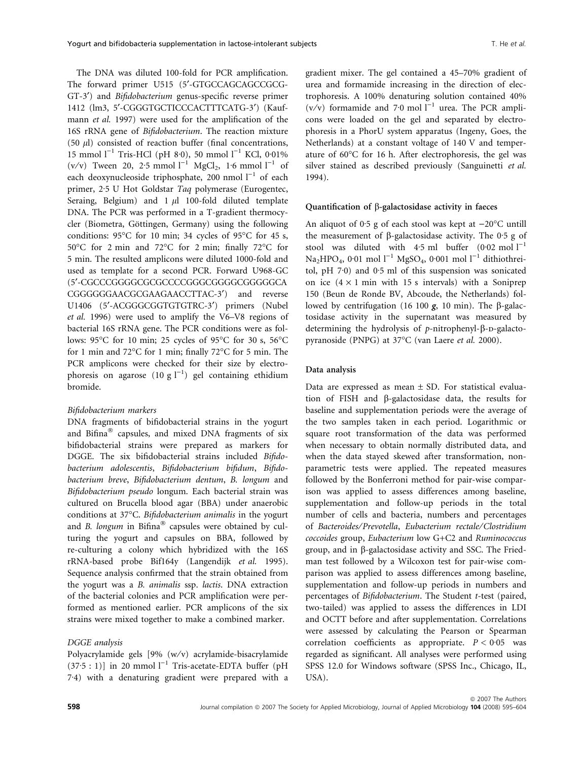The DNA was diluted 100-fold for PCR amplification. The forward primer U515 (5'-GTGCCAGCAGCCGCG-GT-3<sup>\*</sup>) and *Bifidobacterium* genus-specific reverse primer 1412 (lm3, 5'-CGGGTGCTICCCACTTTCATG-3') (Kaufmann *et al.* 1997) were used for the amplification of the 16S rRNA gene of Bifidobacterium. The reaction mixture  $(50 \text{ µ})$  consisted of reaction buffer (final concentrations, 15 mmol  $l^{-1}$  Tris-HCl (pH 8.0), 50 mmol  $l^{-1}$  KCl, 0.01% (v/v) Tween 20, 2.5 mmol  $l^{-1}$  MgCl<sub>2</sub>, 1.6 mmol  $l^{-1}$  of each deoxynucleoside triphosphate, 200 nmol  $l^{-1}$  of each primer, 2.5 U Hot Goldstar Taq polymerase (Eurogentec, Seraing, Belgium) and  $1 \mu l$  100-fold diluted template DNA. The PCR was performed in a T-gradient thermocycler (Biometra, Göttingen, Germany) using the following conditions:  $95^{\circ}$ C for 10 min; 34 cycles of  $95^{\circ}$ C for 45 s,  $50^{\circ}$ C for 2 min and  $72^{\circ}$ C for 2 min; finally  $72^{\circ}$ C for 5 min. The resulted amplicons were diluted 1000-fold and used as template for a second PCR. Forward U968-GC (5¢-CGCCCGGGGCGCGCCCCGGGCGGGGCGGGGGCA CGGGGGGAACGCGAAGAACCTTAC-3') and reverse U1406 (5'-ACGGGCGGTGTGTRC-3') primers (Nubel et al. 1996) were used to amplify the V6–V8 regions of bacterial 16S rRNA gene. The PCR conditions were as follows: 95°C for 10 min; 25 cycles of 95°C for 30 s, 56°C for 1 min and  $72^{\circ}$ C for 1 min; finally  $72^{\circ}$ C for 5 min. The PCR amplicons were checked for their size by electrophoresis on agarose  $(10 g l^{-1})$  gel containing ethidium bromide.

#### Bifidobacterium markers

DNA fragments of bifidobacterial strains in the yogurt and Bifina® capsules, and mixed DNA fragments of six bifidobacterial strains were prepared as markers for DGGE. The six bifidobacterial strains included Bifidobacterium adolescentis, Bifidobacterium bifidum, Bifidobacterium breve, Bifidobacterium dentum, B. longum and Bifidobacterium pseudo longum. Each bacterial strain was cultured on Brucella blood agar (BBA) under anaerobic conditions at 37°C. Bifidobacterium animalis in the yogurt and *B. longum* in Bifina® capsules were obtained by culturing the yogurt and capsules on BBA, followed by re-culturing a colony which hybridized with the 16S rRNA-based probe Bif164y (Langendijk et al. 1995). Sequence analysis confirmed that the strain obtained from the yogurt was a B. animalis ssp. lactis. DNA extraction of the bacterial colonies and PCR amplification were performed as mentioned earlier. PCR amplicons of the six strains were mixed together to make a combined marker.

## DGGE analysis

Polyacrylamide gels [9% (w/v) acrylamide-bisacrylamide  $(37.5:1)$ ] in 20 mmol  $1^{-1}$  Tris-acetate-EDTA buffer (pH 7.4) with a denaturing gradient were prepared with a gradient mixer. The gel contained a 45–70% gradient of urea and formamide increasing in the direction of electrophoresis. A 100% denaturing solution contained 40% (v/v) formamide and 7.0 mol  $I^{-1}$  urea. The PCR amplicons were loaded on the gel and separated by electrophoresis in a PhorU system apparatus (Ingeny, Goes, the Netherlands) at a constant voltage of 140 V and temperature of  $60^{\circ}$ C for 16 h. After electrophoresis, the gel was silver stained as described previously (Sanguinetti et al. 1994).

#### Quantification of  $\beta$ -galactosidase activity in faeces

An aliquot of 0.5 g of each stool was kept at  $-20^{\circ}$ C untill the measurement of  $\beta$ -galactosidase activity. The 0.5 g of stool was diluted with 4.5 ml buffer  $(0.02 \text{ mol } l^{-1})$ Na<sub>2</sub>HPO<sub>4</sub>, 0·01 mol l<sup>-1</sup> MgSO<sub>4</sub>, 0·001 mol l<sup>-1</sup> dithiothreitol, pH  $7.0$ ) and  $0.5$  ml of this suspension was sonicated on ice  $(4 \times 1 \text{ min with } 15 \text{ s intervals})$  with a Soniprep 150 (Beun de Ronde BV, Abcoude, the Netherlands) followed by centrifugation (16 100  $g$ , 10 min). The  $\beta$ -galactosidase activity in the supernatant was measured by determining the hydrolysis of  $p$ -nitrophenyl- $\beta$ -p-galactopyranoside (PNPG) at 37°C (van Laere et al. 2000).

#### Data analysis

Data are expressed as mean  $\pm$  SD. For statistical evaluation of FISH and  $\beta$ -galactosidase data, the results for baseline and supplementation periods were the average of the two samples taken in each period. Logarithmic or square root transformation of the data was performed when necessary to obtain normally distributed data, and when the data stayed skewed after transformation, nonparametric tests were applied. The repeated measures followed by the Bonferroni method for pair-wise comparison was applied to assess differences among baseline, supplementation and follow-up periods in the total number of cells and bacteria, numbers and percentages of Bacteroides⁄ Prevotella, Eubacterium rectale⁄Clostridium coccoides group, Eubacterium low G+C2 and Ruminococcus group, and in  $\beta$ -galactosidase activity and SSC. The Friedman test followed by a Wilcoxon test for pair-wise comparison was applied to assess differences among baseline, supplementation and follow-up periods in numbers and percentages of Bifidobacterium. The Student t-test (paired, two-tailed) was applied to assess the differences in LDI and OCTT before and after supplementation. Correlations were assessed by calculating the Pearson or Spearman correlation coefficients as appropriate.  $P < 0.05$  was regarded as significant. All analyses were performed using SPSS 12.0 for Windows software (SPSS Inc., Chicago, IL, USA).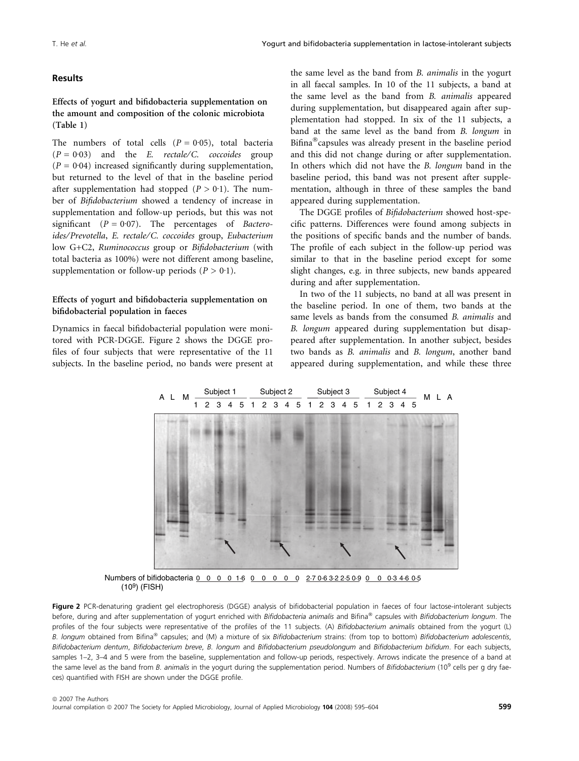# Results

Effects of yogurt and bifidobacteria supplementation on the amount and composition of the colonic microbiota (Table 1)

The numbers of total cells  $(P = 0.05)$ , total bacteria  $(P = 0.03)$  and the *E. rectale/C. coccoides* group ( $P = 0.04$ ) increased significantly during supplementation, but returned to the level of that in the baseline period after supplementation had stopped  $(P > 0.1)$ . The number of Bifidobacterium showed a tendency of increase in supplementation and follow-up periods, but this was not significant ( $P = 0.07$ ). The percentages of Bacteroides⁄ Prevotella, E. rectale⁄C. coccoides group, Eubacterium low G+C2, Ruminococcus group or Bifidobacterium (with total bacteria as 100%) were not different among baseline, supplementation or follow-up periods  $(P > 0.1)$ .

# Effects of yogurt and bifidobacteria supplementation on bifidobacterial population in faeces

Dynamics in faecal bifidobacterial population were monitored with PCR-DGGE. Figure 2 shows the DGGE profiles of four subjects that were representative of the 11 subjects. In the baseline period, no bands were present at the same level as the band from B. animalis in the yogurt in all faecal samples. In 10 of the 11 subjects, a band at the same level as the band from B. animalis appeared during supplementation, but disappeared again after supplementation had stopped. In six of the 11 subjects, a band at the same level as the band from B. longum in Bifina<sup>®</sup>capsules was already present in the baseline period and this did not change during or after supplementation. In others which did not have the B. longum band in the baseline period, this band was not present after supplementation, although in three of these samples the band appeared during supplementation.

The DGGE profiles of Bifidobacterium showed host-specific patterns. Differences were found among subjects in the positions of specific bands and the number of bands. The profile of each subject in the follow-up period was similar to that in the baseline period except for some slight changes, e.g. in three subjects, new bands appeared during and after supplementation.

In two of the 11 subjects, no band at all was present in the baseline period. In one of them, two bands at the same levels as bands from the consumed B. animalis and B. longum appeared during supplementation but disappeared after supplementation. In another subject, besides two bands as B. animalis and B. longum, another band appeared during supplementation, and while these three



 $(10^9)$  (FISH)

Figure 2 PCR-denaturing gradient gel electrophoresis (DGGE) analysis of bifidobacterial population in faeces of four lactose-intolerant subjects before, during and after supplementation of yogurt enriched with Bifidobacteria animalis and Bifina® capsules with Bifidobacterium longum. The profiles of the four subjects were representative of the profiles of the 11 subjects. (A) Bifidobacterium animalis obtained from the yogurt (L) B. longum obtained from Bifina® capsules; and (M) a mixture of six Bifidobacterium strains: (from top to bottom) Bifidobacterium adolescentis, Bifidobacterium dentum, Bifidobacterium breve, B. longum and Bifidobacterium pseudolongum and Bifidobacterium bifidum. For each subjects, samples 1–2, 3–4 and 5 were from the baseline, supplementation and follow-up periods, respectively. Arrows indicate the presence of a band at the same level as the band from B. animalis in the yogurt during the supplementation period. Numbers of Bifidobacterium (10<sup>9</sup> cells per g dry faeces) quantified with FISH are shown under the DGGE profile.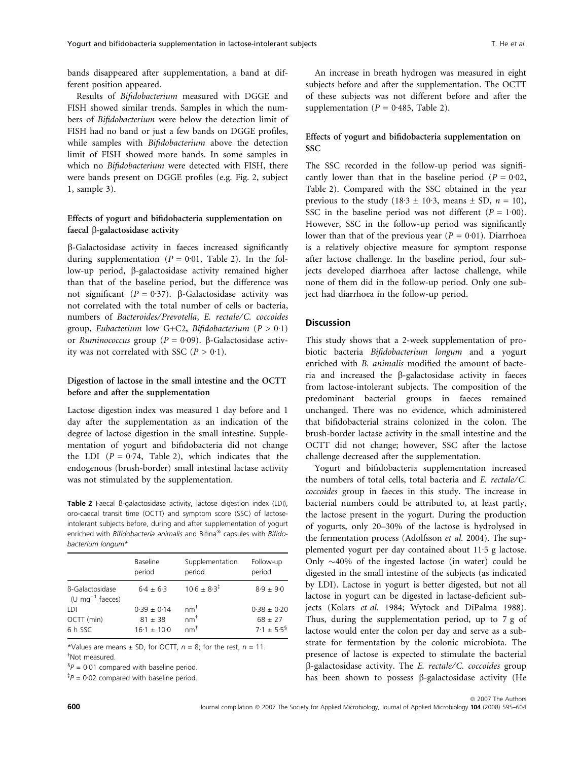bands disappeared after supplementation, a band at different position appeared.

Results of Bifidobacterium measured with DGGE and FISH showed similar trends. Samples in which the numbers of Bifidobacterium were below the detection limit of FISH had no band or just a few bands on DGGE profiles, while samples with Bifidobacterium above the detection limit of FISH showed more bands. In some samples in which no Bifidobacterium were detected with FISH, there were bands present on DGGE profiles (e.g. Fig. 2, subject 1, sample 3).

# Effects of yogurt and bifidobacteria supplementation on faecal  $\beta$ -galactosidase activity

b-Galactosidase activity in faeces increased significantly during supplementation ( $P = 0.01$ , Table 2). In the follow-up period, β-galactosidase activity remained higher than that of the baseline period, but the difference was not significant ( $P = 0.37$ ).  $\beta$ -Galactosidase activity was not correlated with the total number of cells or bacteria, numbers of Bacteroides⁄ Prevotella, E. rectale⁄C. coccoides group, Eubacterium low G+C2, Bifidobacterium ( $P > 0.1$ ) or Ruminococcus group ( $P = 0.09$ ).  $\beta$ -Galactosidase activity was not correlated with SSC  $(P > 0.1)$ .

# Digestion of lactose in the small intestine and the OCTT before and after the supplementation

Lactose digestion index was measured 1 day before and 1 day after the supplementation as an indication of the degree of lactose digestion in the small intestine. Supplementation of yogurt and bifidobacteria did not change the LDI ( $P = 0.74$ , Table 2), which indicates that the endogenous (brush-border) small intestinal lactase activity was not stimulated by the supplementation.

Table 2 Faecal B-galactosidase activity, lactose digestion index (LDI), oro-caecal transit time (OCTT) and symptom score (SSC) of lactoseintolerant subjects before, during and after supplementation of yogurt enriched with Bifidobacteria animalis and Bifina® capsules with Bifidobacterium longum\*

|                                                | Baseline<br>period | Supplementation<br>period | Follow-up<br>period         |
|------------------------------------------------|--------------------|---------------------------|-----------------------------|
| B-Galactosidase<br>(U mg <sup>-1</sup> faeces) | $6.4 \pm 6.3$      | $10.6 \pm 8.3^{\ddagger}$ | $8.9 + 9.0$                 |
| LDI                                            | $0.39 \pm 0.14$    | $nm^{\dagger}$            | $0.38 + 0.20$               |
| OCTT (min)                                     | $81 + 38$          | $nm^{\dagger}$            | $68 \pm 27$                 |
| 6 h SSC                                        | $16.1 \pm 10.0$    | $nm^{\dagger}$            | $7.1 \pm 5.5^{\frac{5}{3}}$ |

\*Values are means  $\pm$  SD, for OCTT,  $n = 8$ ; for the rest,  $n = 11$ . - Not measured.

 ${}^{6}P = 0.01$  compared with baseline period.

 ${}^{4}P = 0.02$  compared with baseline period.

An increase in breath hydrogen was measured in eight subjects before and after the supplementation. The OCTT of these subjects was not different before and after the supplementation ( $P = 0.485$ , Table 2).

# Effects of yogurt and bifidobacteria supplementation on **SSC**

The SSC recorded in the follow-up period was significantly lower than that in the baseline period ( $P = 0.02$ , Table 2). Compared with the SSC obtained in the year previous to the study (18.3  $\pm$  10.3, means  $\pm$  SD,  $n = 10$ ), SSC in the baseline period was not different ( $P = 1.00$ ). However, SSC in the follow-up period was significantly lower than that of the previous year ( $P = 0.01$ ). Diarrhoea is a relatively objective measure for symptom response after lactose challenge. In the baseline period, four subjects developed diarrhoea after lactose challenge, while none of them did in the follow-up period. Only one subject had diarrhoea in the follow-up period.

## **Discussion**

This study shows that a 2-week supplementation of probiotic bacteria Bifidobacterium longum and a yogurt enriched with B. animalis modified the amount of bacteria and increased the b-galactosidase activity in faeces from lactose-intolerant subjects. The composition of the predominant bacterial groups in faeces remained unchanged. There was no evidence, which administered that bifidobacterial strains colonized in the colon. The brush-border lactase activity in the small intestine and the OCTT did not change; however, SSC after the lactose challenge decreased after the supplementation.

Yogurt and bifidobacteria supplementation increased the numbers of total cells, total bacteria and E. rectale⁄C. coccoides group in faeces in this study. The increase in bacterial numbers could be attributed to, at least partly, the lactose present in the yogurt. During the production of yogurts, only 20–30% of the lactose is hydrolysed in the fermentation process (Adolfsson et al. 2004). The supplemented yogurt per day contained about  $11.5$  g lactose. Only  $\sim$ 40% of the ingested lactose (in water) could be digested in the small intestine of the subjects (as indicated by LDI). Lactose in yogurt is better digested, but not all lactose in yogurt can be digested in lactase-deficient subjects (Kolars et al. 1984; Wytock and DiPalma 1988). Thus, during the supplementation period, up to 7 g of lactose would enter the colon per day and serve as a substrate for fermentation by the colonic microbiota. The presence of lactose is expected to stimulate the bacterial  $\beta$ -galactosidase activity. The *E. rectale/C. coccoides* group has been shown to possess  $\beta$ -galactosidase activity (He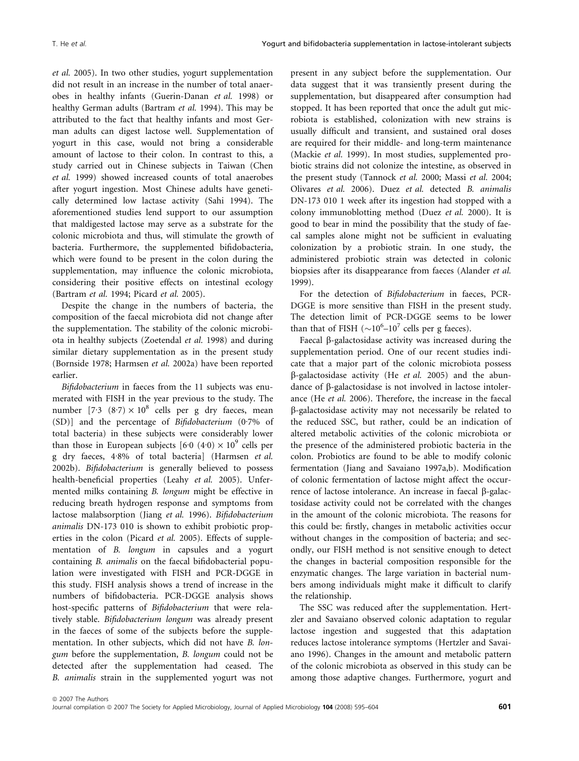et al. 2005). In two other studies, yogurt supplementation did not result in an increase in the number of total anaerobes in healthy infants (Guerin-Danan et al. 1998) or healthy German adults (Bartram et al. 1994). This may be attributed to the fact that healthy infants and most German adults can digest lactose well. Supplementation of yogurt in this case, would not bring a considerable amount of lactose to their colon. In contrast to this, a study carried out in Chinese subjects in Taiwan (Chen et al. 1999) showed increased counts of total anaerobes after yogurt ingestion. Most Chinese adults have genetically determined low lactase activity (Sahi 1994). The aforementioned studies lend support to our assumption that maldigested lactose may serve as a substrate for the colonic microbiota and thus, will stimulate the growth of bacteria. Furthermore, the supplemented bifidobacteria, which were found to be present in the colon during the supplementation, may influence the colonic microbiota, considering their positive effects on intestinal ecology (Bartram et al. 1994; Picard et al. 2005).

Despite the change in the numbers of bacteria, the composition of the faecal microbiota did not change after the supplementation. The stability of the colonic microbiota in healthy subjects (Zoetendal et al. 1998) and during similar dietary supplementation as in the present study (Bornside 1978; Harmsen et al. 2002a) have been reported earlier.

Bifidobacterium in faeces from the 11 subjects was enumerated with FISH in the year previous to the study. The number  $[7.3 (8.7) \times 10^8$  cells per g dry faeces, mean (SD)] and the percentage of Bifidobacterium (0.7% of total bacteria) in these subjects were considerably lower than those in European subjects [6 $\cdot$ 0 (4 $\cdot$ 0)  $\times$  10<sup>9</sup> cells per g dry faeces, 4.8% of total bacteria] (Harmsen et al. 2002b). Bifidobacterium is generally believed to possess health-beneficial properties (Leahy et al. 2005). Unfermented milks containing B. longum might be effective in reducing breath hydrogen response and symptoms from lactose malabsorption (Jiang et al. 1996). Bifidobacterium animalis DN-173 010 is shown to exhibit probiotic properties in the colon (Picard et al. 2005). Effects of supplementation of B. longum in capsules and a yogurt containing B. animalis on the faecal bifidobacterial population were investigated with FISH and PCR-DGGE in this study. FISH analysis shows a trend of increase in the numbers of bifidobacteria. PCR-DGGE analysis shows host-specific patterns of *Bifidobacterium* that were relatively stable. Bifidobacterium longum was already present in the faeces of some of the subjects before the supplementation. In other subjects, which did not have B. longum before the supplementation, B. longum could not be detected after the supplementation had ceased. The B. animalis strain in the supplemented yogurt was not

present in any subject before the supplementation. Our data suggest that it was transiently present during the supplementation, but disappeared after consumption had stopped. It has been reported that once the adult gut microbiota is established, colonization with new strains is usually difficult and transient, and sustained oral doses are required for their middle- and long-term maintenance (Mackie et al. 1999). In most studies, supplemented probiotic strains did not colonize the intestine, as observed in the present study (Tannock et al. 2000; Massi et al. 2004; Olivares et al. 2006). Duez et al. detected B. animalis DN-173 010 1 week after its ingestion had stopped with a colony immunoblotting method (Duez et al. 2000). It is good to bear in mind the possibility that the study of faecal samples alone might not be sufficient in evaluating colonization by a probiotic strain. In one study, the administered probiotic strain was detected in colonic biopsies after its disappearance from faeces (Alander et al. 1999).

For the detection of Bifidobacterium in faeces, PCR-DGGE is more sensitive than FISH in the present study. The detection limit of PCR-DGGE seems to be lower than that of FISH  $({\sim}10^6$ -10<sup>7</sup> cells per g faeces).

Faecal  $\beta$ -galactosidase activity was increased during the supplementation period. One of our recent studies indicate that a major part of the colonic microbiota possess  $\beta$ -galactosidase activity (He et al. 2005) and the abundance of b-galactosidase is not involved in lactose intolerance (He et al. 2006). Therefore, the increase in the faecal b-galactosidase activity may not necessarily be related to the reduced SSC, but rather, could be an indication of altered metabolic activities of the colonic microbiota or the presence of the administered probiotic bacteria in the colon. Probiotics are found to be able to modify colonic fermentation (Jiang and Savaiano 1997a,b). Modification of colonic fermentation of lactose might affect the occurrence of lactose intolerance. An increase in faecal  $\beta$ -galactosidase activity could not be correlated with the changes in the amount of the colonic microbiota. The reasons for this could be: firstly, changes in metabolic activities occur without changes in the composition of bacteria; and secondly, our FISH method is not sensitive enough to detect the changes in bacterial composition responsible for the enzymatic changes. The large variation in bacterial numbers among individuals might make it difficult to clarify the relationship.

The SSC was reduced after the supplementation. Hertzler and Savaiano observed colonic adaptation to regular lactose ingestion and suggested that this adaptation reduces lactose intolerance symptoms (Hertzler and Savaiano 1996). Changes in the amount and metabolic pattern of the colonic microbiota as observed in this study can be among those adaptive changes. Furthermore, yogurt and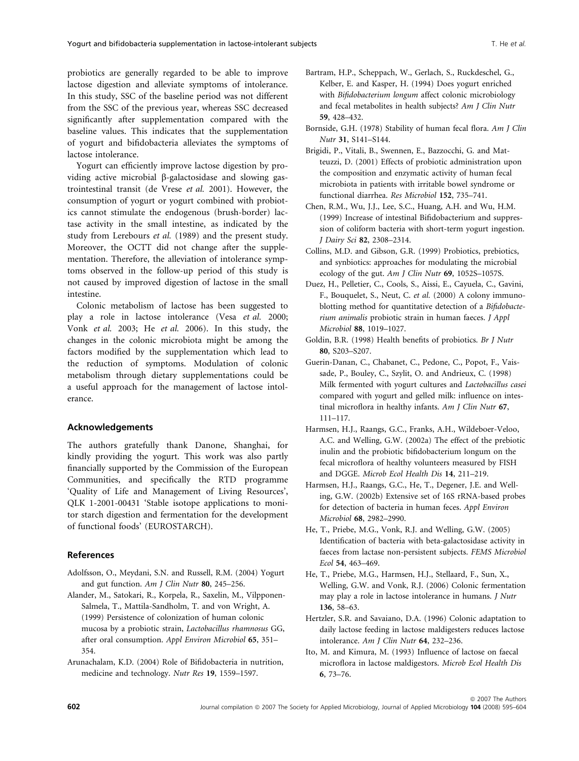probiotics are generally regarded to be able to improve lactose digestion and alleviate symptoms of intolerance. In this study, SSC of the baseline period was not different from the SSC of the previous year, whereas SSC decreased significantly after supplementation compared with the baseline values. This indicates that the supplementation of yogurt and bifidobacteria alleviates the symptoms of lactose intolerance.

Yogurt can efficiently improve lactose digestion by providing active microbial  $\beta$ -galactosidase and slowing gastrointestinal transit (de Vrese et al. 2001). However, the consumption of yogurt or yogurt combined with probiotics cannot stimulate the endogenous (brush-border) lactase activity in the small intestine, as indicated by the study from Lerebours et al. (1989) and the present study. Moreover, the OCTT did not change after the supplementation. Therefore, the alleviation of intolerance symptoms observed in the follow-up period of this study is not caused by improved digestion of lactose in the small intestine.

Colonic metabolism of lactose has been suggested to play a role in lactose intolerance (Vesa et al. 2000; Vonk et al. 2003; He et al. 2006). In this study, the changes in the colonic microbiota might be among the factors modified by the supplementation which lead to the reduction of symptoms. Modulation of colonic metabolism through dietary supplementations could be a useful approach for the management of lactose intolerance.

## Acknowledgements

The authors gratefully thank Danone, Shanghai, for kindly providing the yogurt. This work was also partly financially supported by the Commission of the European Communities, and specifically the RTD programme 'Quality of Life and Management of Living Resources', QLK 1-2001-00431 'Stable isotope applications to monitor starch digestion and fermentation for the development of functional foods' (EUROSTARCH).

## References

- Adolfsson, O., Meydani, S.N. and Russell, R.M. (2004) Yogurt and gut function. Am J Clin Nutr 80, 245–256.
- Alander, M., Satokari, R., Korpela, R., Saxelin, M., Vilpponen-Salmela, T., Mattila-Sandholm, T. and von Wright, A. (1999) Persistence of colonization of human colonic mucosa by a probiotic strain, Lactobacillus rhamnosus GG, after oral consumption. Appl Environ Microbiol 65, 351– 354.
- Arunachalam, K.D. (2004) Role of Bifidobacteria in nutrition, medicine and technology. Nutr Res 19, 1559–1597.
- Bartram, H.P., Scheppach, W., Gerlach, S., Ruckdeschel, G., Kelber, E. and Kasper, H. (1994) Does yogurt enriched with Bifidobacterium longum affect colonic microbiology and fecal metabolites in health subjects? Am J Clin Nutr 59, 428–432.
- Bornside, G.H. (1978) Stability of human fecal flora. Am J Clin Nutr 31, S141–S144.
- Brigidi, P., Vitali, B., Swennen, E., Bazzocchi, G. and Matteuzzi, D. (2001) Effects of probiotic administration upon the composition and enzymatic activity of human fecal microbiota in patients with irritable bowel syndrome or functional diarrhea. Res Microbiol 152, 735–741.
- Chen, R.M., Wu, J.J., Lee, S.C., Huang, A.H. and Wu, H.M. (1999) Increase of intestinal Bifidobacterium and suppression of coliform bacteria with short-term yogurt ingestion. J Dairy Sci 82, 2308–2314.
- Collins, M.D. and Gibson, G.R. (1999) Probiotics, prebiotics, and synbiotics: approaches for modulating the microbial ecology of the gut. Am J Clin Nutr 69, 1052S-1057S.
- Duez, H., Pelletier, C., Cools, S., Aissi, E., Cayuela, C., Gavini, F., Bouquelet, S., Neut, C. et al. (2000) A colony immunoblotting method for quantitative detection of a Bifidobacterium animalis probiotic strain in human faeces. J Appl Microbiol 88, 1019–1027.
- Goldin, B.R. (1998) Health benefits of probiotics. Br J Nutr 80, S203–S207.
- Guerin-Danan, C., Chabanet, C., Pedone, C., Popot, F., Vaissade, P., Bouley, C., Szylit, O. and Andrieux, C. (1998) Milk fermented with yogurt cultures and Lactobacillus casei compared with yogurt and gelled milk: influence on intestinal microflora in healthy infants. Am J Clin Nutr 67, 111–117.
- Harmsen, H.J., Raangs, G.C., Franks, A.H., Wildeboer-Veloo, A.C. and Welling, G.W. (2002a) The effect of the prebiotic inulin and the probiotic bifidobacterium longum on the fecal microflora of healthy volunteers measured by FISH and DGGE. Microb Ecol Health Dis 14, 211–219.
- Harmsen, H.J., Raangs, G.C., He, T., Degener, J.E. and Welling, G.W. (2002b) Extensive set of 16S rRNA-based probes for detection of bacteria in human feces. Appl Environ Microbiol 68, 2982–2990.
- He, T., Priebe, M.G., Vonk, R.J. and Welling, G.W. (2005) Identification of bacteria with beta-galactosidase activity in faeces from lactase non-persistent subjects. FEMS Microbiol Ecol 54, 463–469.
- He, T., Priebe, M.G., Harmsen, H.J., Stellaard, F., Sun, X., Welling, G.W. and Vonk, R.J. (2006) Colonic fermentation may play a role in lactose intolerance in humans. J Nutr 136, 58–63.
- Hertzler, S.R. and Savaiano, D.A. (1996) Colonic adaptation to daily lactose feeding in lactose maldigesters reduces lactose intolerance. Am J Clin Nutr 64, 232–236.
- Ito, M. and Kimura, M. (1993) Influence of lactose on faecal microflora in lactose maldigestors. Microb Ecol Health Dis 6, 73–76.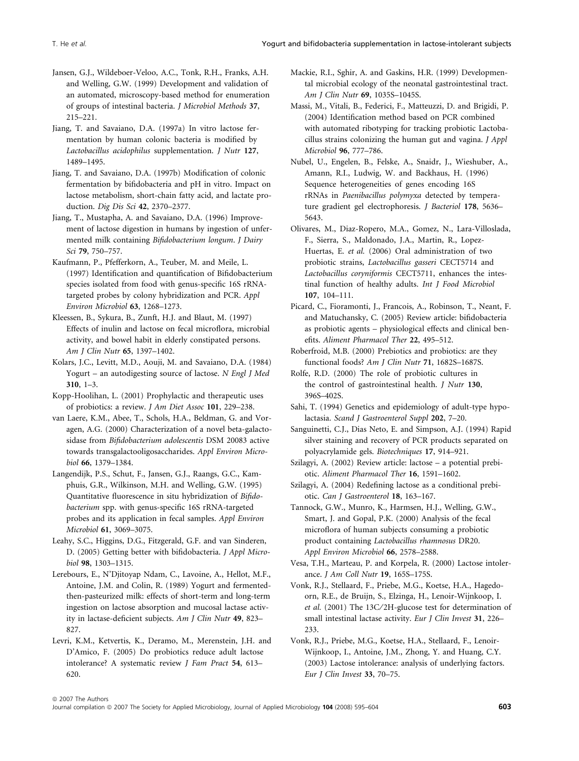- Jansen, G.J., Wildeboer-Veloo, A.C., Tonk, R.H., Franks, A.H. and Welling, G.W. (1999) Development and validation of an automated, microscopy-based method for enumeration of groups of intestinal bacteria. J Microbiol Methods 37, 215–221.
- Jiang, T. and Savaiano, D.A. (1997a) In vitro lactose fermentation by human colonic bacteria is modified by Lactobacillus acidophilus supplementation. J Nutr 127, 1489–1495.
- Jiang, T. and Savaiano, D.A. (1997b) Modification of colonic fermentation by bifidobacteria and pH in vitro. Impact on lactose metabolism, short-chain fatty acid, and lactate production. Dig Dis Sci 42, 2370–2377.
- Jiang, T., Mustapha, A. and Savaiano, D.A. (1996) Improvement of lactose digestion in humans by ingestion of unfermented milk containing Bifidobacterium longum. J Dairy Sci 79, 750–757.
- Kaufmann, P., Pfefferkorn, A., Teuber, M. and Meile, L. (1997) Identification and quantification of Bifidobacterium species isolated from food with genus-specific 16S rRNAtargeted probes by colony hybridization and PCR. Appl Environ Microbiol 63, 1268–1273.
- Kleessen, B., Sykura, B., Zunft, H.J. and Blaut, M. (1997) Effects of inulin and lactose on fecal microflora, microbial activity, and bowel habit in elderly constipated persons. Am J Clin Nutr 65, 1397–1402.
- Kolars, J.C., Levitt, M.D., Aouji, M. and Savaiano, D.A. (1984) Yogurt – an autodigesting source of lactose. N Engl J Med 310, 1–3.
- Kopp-Hoolihan, L. (2001) Prophylactic and therapeutic uses of probiotics: a review. J Am Diet Assoc 101, 229–238.
- van Laere, K.M., Abee, T., Schols, H.A., Beldman, G. and Voragen, A.G. (2000) Characterization of a novel beta-galactosidase from Bifidobacterium adolescentis DSM 20083 active towards transgalactooligosaccharides. Appl Environ Microbiol 66, 1379–1384.
- Langendijk, P.S., Schut, F., Jansen, G.J., Raangs, G.C., Kamphuis, G.R., Wilkinson, M.H. and Welling, G.W. (1995) Quantitative fluorescence in situ hybridization of Bifidobacterium spp. with genus-specific 16S rRNA-targeted probes and its application in fecal samples. Appl Environ Microbiol 61, 3069–3075.
- Leahy, S.C., Higgins, D.G., Fitzgerald, G.F. and van Sinderen, D. (2005) Getting better with bifidobacteria. J Appl Microbiol 98, 1303–1315.
- Lerebours, E., N'Djitoyap Ndam, C., Lavoine, A., Hellot, M.F., Antoine, J.M. and Colin, R. (1989) Yogurt and fermentedthen-pasteurized milk: effects of short-term and long-term ingestion on lactose absorption and mucosal lactase activity in lactase-deficient subjects. Am J Clin Nutr 49, 823-827.
- Levri, K.M., Ketvertis, K., Deramo, M., Merenstein, J.H. and D'Amico, F. (2005) Do probiotics reduce adult lactose intolerance? A systematic review J Fam Pract 54, 613– 620.
- Mackie, R.I., Sghir, A. and Gaskins, H.R. (1999) Developmental microbial ecology of the neonatal gastrointestinal tract. Am J Clin Nutr 69, 1035S–1045S.
- Massi, M., Vitali, B., Federici, F., Matteuzzi, D. and Brigidi, P. (2004) Identification method based on PCR combined with automated ribotyping for tracking probiotic Lactobacillus strains colonizing the human gut and vagina. J Appl Microbiol 96, 777–786.
- Nubel, U., Engelen, B., Felske, A., Snaidr, J., Wieshuber, A., Amann, R.I., Ludwig, W. and Backhaus, H. (1996) Sequence heterogeneities of genes encoding 16S rRNAs in Paenibacillus polymyxa detected by temperature gradient gel electrophoresis. J Bacteriol 178, 5636– 5643.
- Olivares, M., Diaz-Ropero, M.A., Gomez, N., Lara-Villoslada, F., Sierra, S., Maldonado, J.A., Martin, R., Lopez-Huertas, E. et al. (2006) Oral administration of two probiotic strains, Lactobacillus gasseri CECT5714 and Lactobacillus coryniformis CECT5711, enhances the intestinal function of healthy adults. Int J Food Microbiol 107, 104–111.
- Picard, C., Fioramonti, J., Francois, A., Robinson, T., Neant, F. and Matuchansky, C. (2005) Review article: bifidobacteria as probiotic agents – physiological effects and clinical benefits. Aliment Pharmacol Ther 22, 495–512.
- Roberfroid, M.B. (2000) Prebiotics and probiotics: are they functional foods? Am J Clin Nutr 71, 1682S–1687S.
- Rolfe, R.D. (2000) The role of probiotic cultures in the control of gastrointestinal health. *J Nutr* 130, 396S–402S.
- Sahi, T. (1994) Genetics and epidemiology of adult-type hypolactasia. Scand J Gastroenterol Suppl 202, 7–20.
- Sanguinetti, C.J., Dias Neto, E. and Simpson, A.J. (1994) Rapid silver staining and recovery of PCR products separated on polyacrylamide gels. Biotechniques 17, 914–921.
- Szilagyi, A. (2002) Review article: lactose a potential prebiotic. Aliment Pharmacol Ther 16, 1591–1602.
- Szilagyi, A. (2004) Redefining lactose as a conditional prebiotic. Can J Gastroenterol 18, 163–167.
- Tannock, G.W., Munro, K., Harmsen, H.J., Welling, G.W., Smart, J. and Gopal, P.K. (2000) Analysis of the fecal microflora of human subjects consuming a probiotic product containing Lactobacillus rhamnosus DR20. Appl Environ Microbiol 66, 2578–2588.
- Vesa, T.H., Marteau, P. and Korpela, R. (2000) Lactose intolerance. J Am Coll Nutr 19, 165S–175S.
- Vonk, R.J., Stellaard, F., Priebe, M.G., Koetse, H.A., Hagedoorn, R.E., de Bruijn, S., Elzinga, H., Lenoir-Wijnkoop, I. et al. (2001) The 13C/2H-glucose test for determination of small intestinal lactase activity. Eur J Clin Invest 31, 226-233.
- Vonk, R.J., Priebe, M.G., Koetse, H.A., Stellaard, F., Lenoir-Wijnkoop, I., Antoine, J.M., Zhong, Y. and Huang, C.Y. (2003) Lactose intolerance: analysis of underlying factors. Eur J Clin Invest 33, 70–75.

ª 2007 The Authors